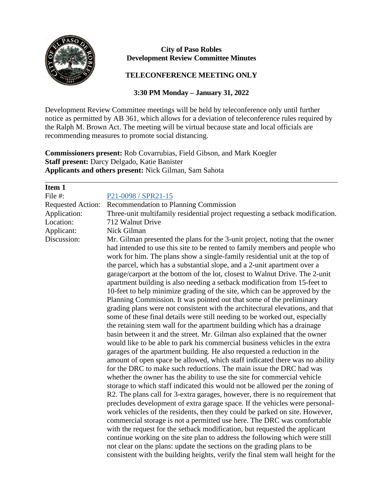

 $\overline{a}$ 

## **City of Paso Robles Development Review Committee Minutes**

## **TELECONFERENCE MEETING ONLY**

## **3:30 PM Monday – January 31, 2022**

Development Review Committee meetings will be held by teleconference only until further notice as permitted by AB 361, which allows for a deviation of teleconference rules required by the Ralph M. Brown Act. The meeting will be virtual because state and local officials are recommending measures to promote social distancing.

**Commissioners present:** Rob Covarrubias, Field Gibson, and Mark Koegler **Staff present:** Darcy Delgado, Katie Banister **Applicants and others present:** Nick Gilman, Sam Sahota

| Item 1                   |                                                                                                                                                                                                                                                                                                                                                                                                                                                                                                                                                                                                                                                                                                                                                                                                                                                                                                                                                                                                                                                                                                                                                                                                                                                                                                                                                                                                                                                                                                                                                                                                                                                                                                                                                                                                                                                                                                                                                                                                                                                                                                   |
|--------------------------|---------------------------------------------------------------------------------------------------------------------------------------------------------------------------------------------------------------------------------------------------------------------------------------------------------------------------------------------------------------------------------------------------------------------------------------------------------------------------------------------------------------------------------------------------------------------------------------------------------------------------------------------------------------------------------------------------------------------------------------------------------------------------------------------------------------------------------------------------------------------------------------------------------------------------------------------------------------------------------------------------------------------------------------------------------------------------------------------------------------------------------------------------------------------------------------------------------------------------------------------------------------------------------------------------------------------------------------------------------------------------------------------------------------------------------------------------------------------------------------------------------------------------------------------------------------------------------------------------------------------------------------------------------------------------------------------------------------------------------------------------------------------------------------------------------------------------------------------------------------------------------------------------------------------------------------------------------------------------------------------------------------------------------------------------------------------------------------------------|
| File #:                  | P21-0098 / SPR21-15                                                                                                                                                                                                                                                                                                                                                                                                                                                                                                                                                                                                                                                                                                                                                                                                                                                                                                                                                                                                                                                                                                                                                                                                                                                                                                                                                                                                                                                                                                                                                                                                                                                                                                                                                                                                                                                                                                                                                                                                                                                                               |
| <b>Requested Action:</b> | Recommendation to Planning Commission                                                                                                                                                                                                                                                                                                                                                                                                                                                                                                                                                                                                                                                                                                                                                                                                                                                                                                                                                                                                                                                                                                                                                                                                                                                                                                                                                                                                                                                                                                                                                                                                                                                                                                                                                                                                                                                                                                                                                                                                                                                             |
| Application:             | Three-unit multifamily residential project requesting a setback modification.                                                                                                                                                                                                                                                                                                                                                                                                                                                                                                                                                                                                                                                                                                                                                                                                                                                                                                                                                                                                                                                                                                                                                                                                                                                                                                                                                                                                                                                                                                                                                                                                                                                                                                                                                                                                                                                                                                                                                                                                                     |
| Location:                | 712 Walnut Drive                                                                                                                                                                                                                                                                                                                                                                                                                                                                                                                                                                                                                                                                                                                                                                                                                                                                                                                                                                                                                                                                                                                                                                                                                                                                                                                                                                                                                                                                                                                                                                                                                                                                                                                                                                                                                                                                                                                                                                                                                                                                                  |
| Applicant:               | Nick Gilman                                                                                                                                                                                                                                                                                                                                                                                                                                                                                                                                                                                                                                                                                                                                                                                                                                                                                                                                                                                                                                                                                                                                                                                                                                                                                                                                                                                                                                                                                                                                                                                                                                                                                                                                                                                                                                                                                                                                                                                                                                                                                       |
| Discussion:              | Mr. Gilman presented the plans for the 3-unit project, noting that the owner<br>had intended to use this site to be rented to family members and people who<br>work for him. The plans show a single-family residential unit at the top of<br>the parcel, which has a substantial slope, and a 2-unit apartment over a<br>garage/carport at the bottom of the lot, closest to Walnut Drive. The 2-unit<br>apartment building is also needing a setback modification from 15-feet to<br>10-feet to help minimize grading of the site, which can be approved by the<br>Planning Commission. It was pointed out that some of the preliminary<br>grading plans were not consistent with the architectural elevations, and that<br>some of these final details were still needing to be worked out, especially<br>the retaining stem wall for the apartment building which has a drainage<br>basin between it and the street. Mr. Gilman also explained that the owner<br>would like to be able to park his commercial business vehicles in the extra<br>garages of the apartment building. He also requested a reduction in the<br>amount of open space be allowed, which staff indicated there was no ability<br>for the DRC to make such reductions. The main issue the DRC had was<br>whether the owner has the ability to use the site for commercial vehicle<br>storage to which staff indicated this would not be allowed per the zoning of<br>R2. The plans call for 3-extra garages, however, there is no requirement that<br>precludes development of extra garage space. If the vehicles were personal-<br>work vehicles of the residents, then they could be parked on site. However,<br>commercial storage is not a permitted use here. The DRC was comfortable<br>with the request for the setback modification, but requested the applicant<br>continue working on the site plan to address the following which were still<br>not clear on the plans: update the sections on the grading plans to be<br>consistent with the building heights, verify the final stem wall height for the |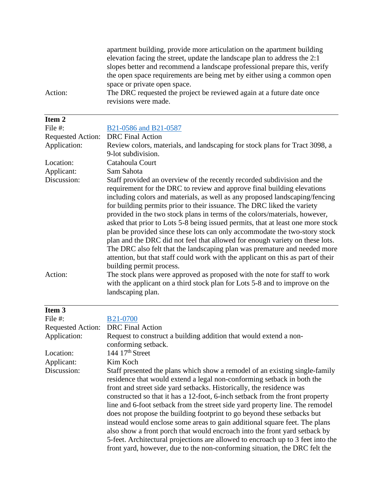apartment building, provide more articulation on the apartment building elevation facing the street, update the landscape plan to address the 2:1 slopes better and recommend a landscape professional prepare this, verify the open space requirements are being met by either using a common open space or private open space. Action: The DRC requested the project be reviewed again at a future date once revisions were made.

File #: [B21-0586 and B21-0587](https://www.prcity.com/DocumentCenter/View/33098/January-31-2022-Development-Review-Committee-Agenda-Item-2-PDF)

| <b>Requested Action:</b> | <b>DRC</b> Final Action                                                          |
|--------------------------|----------------------------------------------------------------------------------|
| Application:             | Review colors, materials, and landscaping for stock plans for Tract 3098, a      |
|                          | 9-lot subdivision.                                                               |
| Location:                | Catahoula Court                                                                  |
| Applicant:               | Sam Sahota                                                                       |
| Discussion:              | Staff provided an overview of the recently recorded subdivision and the          |
|                          | requirement for the DRC to review and approve final building elevations          |
|                          | including colors and materials, as well as any proposed landscaping/fencing      |
|                          | for building permits prior to their issuance. The DRC liked the variety          |
|                          | provided in the two stock plans in terms of the colors/materials, however,       |
|                          | asked that prior to Lots 5-8 being issued permits, that at least one more stock  |
|                          | plan be provided since these lots can only accommodate the two-story stock       |
|                          | plan and the DRC did not feel that allowed for enough variety on these lots.     |
|                          | The DRC also felt that the landscaping plan was premature and needed more        |
|                          | attention, but that staff could work with the applicant on this as part of their |
|                          | building permit process.                                                         |
| Action:                  | The stock plans were approved as proposed with the note for staff to work        |
|                          | with the applicant on a third stock plan for Lots 5-8 and to improve on the      |
|                          | landscaping plan.                                                                |

| Item <sub>3</sub>        |                                                                                 |
|--------------------------|---------------------------------------------------------------------------------|
| File #:                  | <b>B21-0700</b>                                                                 |
| <b>Requested Action:</b> | <b>DRC</b> Final Action                                                         |
| Application:             | Request to construct a building addition that would extend a non-               |
|                          | conforming setback.                                                             |
| Location:                | 144 $17th$ Street                                                               |
| Applicant:               | Kim Koch                                                                        |
| Discussion:              | Staff presented the plans which show a remodel of an existing single-family     |
|                          | residence that would extend a legal non-conforming setback in both the          |
|                          | front and street side yard setbacks. Historically, the residence was            |
|                          | constructed so that it has a 12-foot, 6-inch setback from the front property    |
|                          | line and 6-foot setback from the street side yard property line. The remodel    |
|                          | does not propose the building footprint to go beyond these setbacks but         |
|                          | instead would enclose some areas to gain additional square feet. The plans      |
|                          | also show a front porch that would encroach into the front yard setback by      |
|                          | 5-feet. Architectural projections are allowed to encroach up to 3 feet into the |
|                          | front yard, however, due to the non-conforming situation, the DRC felt the      |